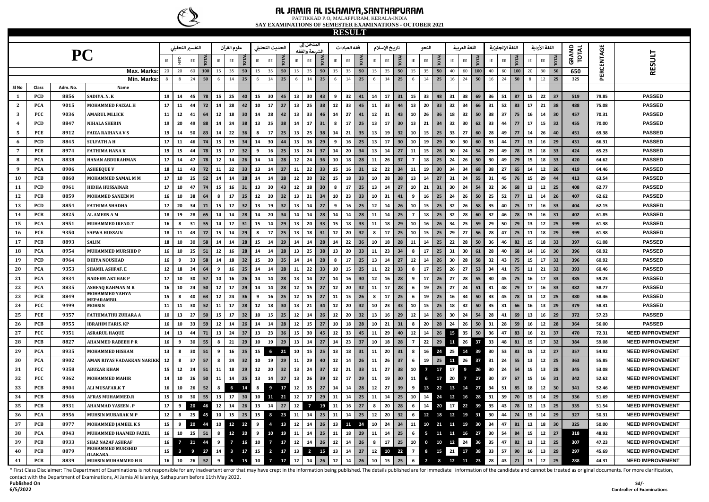

#### **AL JAMIA AL ISLAMIYA,SANTHAPURAM** PATTIKKAD P.O, MALAPPURAM, KERALA-INDIA

**SAY EXAMINATIONS OF SEMESTER EXAMINATIONS - OCTOBER 2021**

| <b>RESULT</b><br>المدخل إلى<br>علوم القرآن<br>فقه العبادات<br>اللغة العربية<br>اللغة الإنجليزية<br>اللغة الأردية<br>التفسير التحليلي<br>الحديث التحليلي<br>تاريخ الإسلام<br>النحو<br>.ىعة والفقه |            |          |                                     |            |                |                |                           |            |                         |                 |            |                         |            |        |                |             |        |    |             |            |            |             |                |                                |    |               |             |    |    |             |              |                               |                |            |                         |
|--------------------------------------------------------------------------------------------------------------------------------------------------------------------------------------------------|------------|----------|-------------------------------------|------------|----------------|----------------|---------------------------|------------|-------------------------|-----------------|------------|-------------------------|------------|--------|----------------|-------------|--------|----|-------------|------------|------------|-------------|----------------|--------------------------------|----|---------------|-------------|----|----|-------------|--------------|-------------------------------|----------------|------------|-------------------------|
|                                                                                                                                                                                                  |            |          |                                     |            |                |                |                           |            |                         |                 |            |                         |            |        |                |             |        |    |             |            |            |             |                |                                |    |               |             |    |    |             |              |                               |                |            |                         |
|                                                                                                                                                                                                  |            | PC       |                                     | IE         |                | EE             | <b>TOTA</b>               | IE         | EE                      | <b>TOTA</b>     | IE         | EE                      |            | IE     | EE             | <b>TOTA</b> | IE     | EE | <b>TOTA</b> | IE         | EE         | <b>TOTA</b> | ΙE             | готд<br>EE                     | IE | $\mathsf{EE}$ | <b>TOTA</b> | IE | EE | <b>TOTA</b> | IE           | <b>TOTAL</b><br>$\mathsf{EE}$ | GRAND<br>TOTAL | PERCENTAGE | <b>RESULT</b>           |
|                                                                                                                                                                                                  |            |          | Max. Marks                          | 20         | 20             | 60             | 100                       | 15         | 35                      | 50              | 15         | 35                      | 50         | 15     | 35             | 50          | 15     | 35 | 50          | 15         | 35         | 50          | 15             | 35<br>50                       | 40 | 60            | 100         | 40 | 60 | 100         | 20           | 30<br>50                      | 650            |            |                         |
|                                                                                                                                                                                                  |            |          | Min. Marks                          | 8          | 8              | 24             | 50                        | 6          | 14                      | 25              | 6          | 14                      | 25         | 6      | 14             | 25          | 6      | 14 | 25          | $\,6\,$    | 14         | 25          | $\,$ 6 $\,$    | 14<br>25                       | 16 | 24            | 50          | 16 | 24 | 50          | $\mathbf{g}$ | 12<br>25                      | 325            |            |                         |
| SI No                                                                                                                                                                                            | Class      | Adm. No. | Name                                |            |                |                |                           |            |                         |                 |            |                         |            |        |                |             |        |    |             |            |            |             |                |                                |    |               |             |    |    |             |              |                               |                |            |                         |
| 1                                                                                                                                                                                                | <b>PCD</b> | 8856     | SADIYA. N. K                        | 19         | 14             | 45             | 78                        | 15         | 25                      | 40              | 15         | 30                      | 45         | 13     | 30             | 43          | 9      | 32 | 41          | 14         | 17         | 31          | 15             | 33<br>48                       | 31 | 38            | 69          | 36 | 51 | 87          | 15           | 22<br>37                      | 519            | 79.85      | <b>PASSED</b>           |
| $\mathbf{2}$                                                                                                                                                                                     | <b>PCA</b> | 9015     | MOHAMMED FAIZAL H                   | 17         | 11             | 44             | 72                        | 14         | 28                      | 42              | 10         | 17                      | 27         | 13     | 25             | 38          | 12     | 33 | 45          | ${\bf 11}$ | 33         | 44          | 13             | 20<br>33                       | 32 | 34            | 66          | 31 | 52 | 83          | $17\,$       | 21<br>38                      | 488            | 75.08      | <b>PASSED</b>           |
| $\mathbf{3}$                                                                                                                                                                                     | PCC        | 9036     | <b>AMARUL MLLICK</b>                | ${\bf 11}$ | $12\,$         | 41             | 64                        | ${\bf 12}$ | 18                      | 30 <sub>o</sub> | 14         | 28                      | 42         | 13     | 33             | 46          | 14     | 27 | 41          | 12         | 31         | 43          | 10             | 26<br>36                       | 18 | 32            | 50          | 38 | 37 | 75          | 16           | 14<br>30                      | 457            | 70.31      | <b>PASSED</b>           |
| $\overline{4}$                                                                                                                                                                                   | PCD        | 8847     | <b>NIHALA SHERIN</b>                | 19         | 20             | 49             | 88                        | ${\bf 14}$ | 24                      | 38              | 13         | 25                      | 38         | 14     | 17             | 31          | 8      | 17 | 25          | 13         | 17         | 30          | 13             | 21<br>34                       | 32 | 30            | 62          | 33 | 44 | 77          | 17           | 15<br>32                      | 455            | 70.00      | <b>PASSED</b>           |
| 5                                                                                                                                                                                                | PCE        | 8912     | <b>FAIZA RAIHANA V S</b>            | 19         | 14             | 50             | 83                        | ${\bf 14}$ | 22                      | 36              | 8          | 17                      | 25         | 13     | 25             | 38          | 14     | 21 | 35          | 13         | 19         | 32          | 10             | 15<br>25                       | 33 | 27            | 60          | 28 | 49 | 77          | ${\bf 14}$   | 40<br>26                      | 451            | 69.38      | <b>PASSED</b>           |
| 6                                                                                                                                                                                                | <b>PCD</b> | 8845     | <b>SULFATH A H</b>                  | 17         | 11             | 46             | 74                        | 15         | 19                      | 34              | 14         | 30                      | 44         | 13     | 16             | 29          | 9      | 16 | 25          | 13         | 17         | 30          | 10             | 19<br>29                       | 30 | 30            | 60          | 33 | 44 | 77          | 13           | 16<br>29                      | 431            | 66.31      | <b>PASSED</b>           |
| $\overline{7}$                                                                                                                                                                                   | PCE        | 8974     | <b>FATHIMA HANA K</b>               | 19         | 15             | 44             | 78                        | 15         | 17                      | 32              | 9          | 16                      | 25         | 13     | ${\bf 24}$     | 37          | 14     | 20 | 34          | 13         | 14         | 27          | 11             | 15<br>26                       | 30 | 24            | 54          | 29 | 49 | 78          | 15           | 18<br>33                      | 424            | 65.23      | <b>PASSED</b>           |
| 8                                                                                                                                                                                                | PCA        | 8838     | HANAN ABDURAHMAN                    | 17         | 14             | 47             | 78                        | 12         | 14                      | 26              | 14         | 14                      | 28         | 12     | 24             | 36          | 10     | 18 | 28          | 11         | 26         | 37          | $\overline{7}$ | 25<br>18                       | 24 | 26            | 50          | 30 | 49 | 79          | 15           | 18<br>33                      | 420            | 64.62      | <b>PASSED</b>           |
| $\boldsymbol{9}$                                                                                                                                                                                 | <b>PCA</b> | 8906     | <b>ASHEEQUE V</b>                   | 18         | 11             | 43             | 72                        | 11         | 22                      | 33              | 13         | 14                      | 27         | 11     | 22             | 33          | 15     | 16 | 31          | ${\bf 12}$ | 22         | 34          | 11             | 19<br>30                       | 34 | 34            | 68          | 38 | 27 | 65          | 14           | 12<br>26                      | 419            | 64.46      | <b>PASSED</b>           |
| 10                                                                                                                                                                                               | PCB        | 8860     | MOHAMMED SAMAL M M                  | 17         | 10             | 25             | 52                        | 14         | 14                      | 28              | 14         | 14                      | 28         | 12     | 20             | 32          | 15     | 18 | 33          | 10         | 28         | 38          | 13             | 27<br>14                       | 31 | 24            | 55          | 31 | 45 | 76          | 15           | 29<br>44                      | 413            | 63.54      | <b>PASSED</b>           |
| 11                                                                                                                                                                                               | PCD        | 8961     | <b>HIDHA HUSSAINAR</b>              | 17         | 10             | 47             | 74                        | 15         | 16                      | 31              | 13         | 30                      | 43         | 12     | 18             | 30          | 8      | 17 | 25          | 13         | 14         | 27          | 10             | 21<br>31                       | 30 | 24            | 54          | 32 | 36 | 68          | 13           | 12<br>25                      | 408            | 62.77      | <b>PASSED</b>           |
| 12                                                                                                                                                                                               | PCB        | 8859     | <b>MOHAMED SANEEN M</b>             | 16         | 10             | 38             | 64                        | 8          | 17                      | 25              | $12\,$     | 20                      | 32         | 13     | $\bf{21}$      | 34          | 10     | 23 | 33          | 10         | 31         | 41          | 9              | 16<br>25                       | 24 | 26            | 50          | 25 | 52 | 77          | $12$         | 14<br>26                      | 407            | 62.62      | <b>PASSED</b>           |
| 13                                                                                                                                                                                               | PCD        | 8854     | <b>FATHIMA SHADHA</b>               | 17         | 20             | 34             | 71                        | 15         | 17                      | 32              | 13         | 19                      | 32         | 13     | 14             | 27          | 9      | 16 | 25          | $12\,$     | 14         | 26          | 10             | 15<br>25                       | 32 | 26            | 58          | 35 | 40 | 75          | 17           | 16<br>33                      | 404            | 62.15      | <b>PASSED</b>           |
| 14                                                                                                                                                                                               | PCB        | 8825     | <b>AL AMEEN A M</b>                 | 18         | 19             | 28             | 65                        | 14         | 14                      | 28              | 14         | 20                      | 34         | 14     | 14             | 28          | 14     | 14 | 28          | 11         | 14         | 25          | $\overline{7}$ | 18<br>25                       | 32 | 28            | 60          | 32 | 46 | 78          | 15           | 16<br>31                      | 402            | 61.85      | <b>PASSED</b>           |
| 15                                                                                                                                                                                               | PCA        | 8951     | MUHAMMED IRFAD.T                    | 16         | 8              | 31             | 55                        | 14         | 17                      | 31              | 15         | 14                      | 29         | 13     | 20             | 33          | 15     | 18 | 33          | 11         | 18         | 29          | 10             | 16<br>26                       | 34 | 25            | 59          | 29 | 50 | 79          | 13           | $12\,$<br>25                  | 399            | 61.38      | <b>PASSED</b>           |
| 16                                                                                                                                                                                               | PCE        | 9350     | <b>SAFWA HUSSAIN</b>                | 18         | 11             | 43             | 72                        | 15         | 14                      | 29              | 8          | 17                      | 25         | 13     | 18             | 31          | 12     | 20 | 32          | 8          | 17         | 25          | 10             | 15<br>25                       | 29 | 27            | 56          | 28 | 47 | 75          | 11           | 18<br>29                      | 399            | 61.38      | <b>PASSED</b>           |
| 17                                                                                                                                                                                               | PCB        | 8893     | <b>SALIM</b>                        | 18         | 10             | 30             | 58                        | 14         | 14                      | 28              | 15         | 14                      | 29         | 14     | 14             | 28          | 14     | 22 | 36          | 10         | 18         | 28          | 11             | 25<br>14                       | 22 | 28            | 50          | 36 | 46 | 82          | 15           | 18<br>33                      | 397            | 61.08      | <b>PASSED</b>           |
| 18                                                                                                                                                                                               | <b>PCA</b> | 8954     | MUHAMMED MURSHID P                  | 16         | 10             | 25             | 51                        | 12         | 16                      | 28              | 14         | 14                      | 28         | 13     | 25             | 38          | 13     | 20 | 33          | 11         | 23         | 34          | 8              | 25<br>17                       | 31 | 30            | 61          | 28 | 40 | 68          | 14           | 16<br>30                      | 396            | 60.92      | <b>PASSED</b>           |
| 19                                                                                                                                                                                               | PCD        | 8964     | <b>DHIYA NOUSHAD</b>                | 16         | 9              | 33             | 58                        | ${\bf 14}$ | 18                      | 32              | 15         | 20                      | 35         | 14     | 14             | 28          | 8      | 17 | 25          | 13         | 14         | 27          | 12             | 26<br>14                       | 30 | 28            | 58          | 32 | 43 | 75          | 15           | 17<br>32                      | 396            | 60.92      | <b>PASSED</b>           |
| 20                                                                                                                                                                                               | PCA        | 9353     | <b>SHAMIL ASHFAF.E</b>              | $12\,$     | 18             | 34             | 64                        | 9          | 16                      | 25              | 14         | 14                      | 28         | 11     | 22             | 33          | 10     | 15 | 25          | 11         | 22         | 33          | 8              | 17<br>25                       | 26 | 27            | 53          | 34 | 41 | 75          | 11           | 21<br>32                      | 393            | 60.46      | <b>PASSED</b>           |
| 21                                                                                                                                                                                               | <b>PCA</b> | 8934     | <b>NADEEM AKTHAR P</b>              | 17         | 10             | 30             | 57                        | 10         | 16                      | 26              | 14         | 14                      | 28         | 13     | 14             | 27          | 14     | 16 | 30          | $12\,$     | 16         | 28          | 9              | 17<br>26                       | 27 | 28            | 55          | 30 | 45 | 75          | 16           | 17<br>33                      | 385            | 59.23      | <b>PASSED</b>           |
| 22                                                                                                                                                                                               | <b>PCA</b> | 8835     | <b>ASHFAQ RAHMAN M R</b>            | 16         | 10             | 24             | 50                        | 12         | 17                      | 29              | 14         | 14                      | 28         | 12     | 15             | 27          | 12     | 20 | 32          | 11         | 17         | 28          | 6              | 19<br>25                       | 27 | 24            | 51          | 31 | 48 | 79          | 17           | 16<br>33                      | 382            | 58.77      | <b>PASSED</b>           |
| 23                                                                                                                                                                                               | PCB        | 8849     | MOHAMMED YAHYA<br><b>MEPARAMRII</b> | 15         | 8              | 40             | 63                        | $12$       | 24                      | 36              | 9          | 16                      | 25         | 12     | 15             | 27          | 11     | 15 | 26          | 8          | 17         | 25          | 6              | 19<br>25                       | 16 | 34            | 50          | 33 | 45 | 78          | 13           | 12<br>25                      | 380            | 58.46      | <b>PASSED</b>           |
| 24                                                                                                                                                                                               | PCC        | 9499     | <b>MOHSIN</b>                       | 11         | 11             | 30             | 52                        | 11         | 17                      | 28              | $12\,$     | 18                      | 30         | 13     | 21             | 34          | $12\,$ | 20 | 32          | 10         | 23         | 33          | 10             | 25<br>15                       | 18 | 32            | 50          | 35 | 31 | 66          | 16           | 13<br>29                      | 379            | 58.31      | <b>PASSED</b>           |
| 25                                                                                                                                                                                               | PCE        | 9357     | <b>FATHIMATHU ZUHARA A</b>          | ${\bf 10}$ | 13             | 27             | 50                        | 15         | 17                      | 32              | 10         | 15                      | 25         | 12     | 14             | 26          | 12     | 20 | 32          | 13         | 16         | 29          | 12             | 26<br>14                       | 30 | 24            | 54          | 28 | 41 | 69          | 13           | 16<br>29                      | 372            | 57.23      | <b>PASSED</b>           |
| 26                                                                                                                                                                                               | PCB        | 8955     | <b>IBRAHIM FARIS. KP</b>            | 16         | 10             | 33             | 59                        | ${\bf 12}$ | 14                      | 26              | 14         | 14                      | 28         | 12     | 15             | 27          | 10     | 18 | 28          | 10         | 21         | 31          | 8              | 28<br>20                       | 24 | 26            | 50          | 31 | 28 | 59          | 16           | 12<br>28                      | 364            | 56.00      | <b>PASSED</b>           |
| 27                                                                                                                                                                                               | PCC        | 9351     | <b>ASRARUL HAQUE</b>                | 14         | 13             | 44             | 71                        | 13         | ${\bf 24}$              | 37              | 13         | 23                      | 36         | 15     | 30             | 45          | $12\,$ | 33 | 45          | ${\bf 11}$ | 29         | 40          | 12             | 14<br>26                       | 15 | 35            | 50          | 36 | 47 | 83          | 16           | 21<br>37                      | 470            | 72.31      | <b>NEED IMPROVEMENT</b> |
| 28                                                                                                                                                                                               | PCB        | 8827     | <b>AHAMMED RABEEH P R</b>           | 16         | 9              | 30             | 55                        | 8          | 21                      | 29              | ${\bf 10}$ | 19                      | 29         | 13     | ${\bf 14}$     | 27          | 14     | 23 | 37          | 10         | 18         | 28          | $\overline{7}$ | 22<br>29                       | 11 | 26            | 37          | 33 | 48 | 81          | 15           | 17<br>32                      | 384            | 59.08      | <b>NEED IMPROVEMENT</b> |
| 29                                                                                                                                                                                               | PCA        | 8935     | <b>MOHAMMED HISHAM</b>              | 13         |                | 30             | 51                        | 9          | 16                      | 25              | 15         | 6                       | 21         | 10     | 15             | 25          | 13     | 18 | 31          | 11         | 20         | 31          | 8              | 16<br>24                       | 25 | 14            | 39          | 30 | 53 | 83          | 15           | $12\,$<br>27                  | 357            | 54.92      | <b>NEED IMPROVEMENT</b> |
| 30                                                                                                                                                                                               | PCA        | 8902     | AMAN RIYAS VADAKKAN NARIKK          | $12\,$     | 8              | 37             | 57                        | 8          | 24                      | 32              | 10         | 19                      | 29         | 11     | 29             | 40          | 12     | 14 | 26          | 11         | 26         | 37          | 6              | 19<br>25                       | 11 | 26            | 37          | 31 | 24 | 55          | 13           | 12<br>25                      | 363            | 55.85      | <b>NEED IMPROVEMENT</b> |
| 31                                                                                                                                                                                               | <b>PCC</b> | 9358     | <b>ABUZAR KHAN</b>                  | 15         | 12             | 24             | 51                        | 11         | 18                      | 29              | 12         | 20                      | 32         | 13     | ${\bf 24}$     | 37          | 12     | 21 | 33          | 11         | 27         | 38          | 10             | $\overline{7}$<br>17           | 17 | 9             | 26          | 30 | 24 | 54          | 15           | 13<br>28                      | 345            | 53.08      | <b>NEED IMPROVEMENT</b> |
| 32                                                                                                                                                                                               | PCC        | 9362     | <b>MOHAMMED MAHIR</b>               | ${\bf 14}$ | 10             | 26             | 50                        | 11         | 14                      | 25              | 13         | 14                      | 27         | 13     | 26             | 39          | 12     | 17 | 29          | 11         | 19         | 30          | 11             | 6<br>17                        | 20 | $\mathbf{z}$  | 27          | 30 | 37 | 67          | 15           | 16<br>31                      | 342            | 52.62      | <b>NEED IMPROVEMENT</b> |
| 33                                                                                                                                                                                               | PCB        | 8904     | <b>ALI MUSAFAR.KT</b>               | 16         | 10             | 26             | 52                        | 8          | 6                       | 14              | 8          | 9                       | 17         | 12     | 15             | 27          | 14     | 14 | 28          | ${\bf 12}$ | 27         | 39          | 9              | 13<br>22                       | 13 | 14            | 27          | 34 | 51 | 85          | 18           | 12<br>30                      | 341            | 52.46      | <b>NEED IMPROVEMENT</b> |
| 34                                                                                                                                                                                               | PCB        | 8946     | <b>AFRAS MUHAMMED.R</b>             | ${\bf 15}$ | 10             | 30             | 55                        | 13         | 17                      | 30              | ${\bf 10}$ | 11 21                   |            | 12     | ${\bf 17}$     | 29          | 11     | 14 | 25          | 11         | 14         | 25          | 10             | 14<br>24                       | 12 | 16            | 28          | 31 | 39 | 70          | 15           | 14<br>29                      | 336            | 51.69      | <b>NEED IMPROVEMENT</b> |
| 35                                                                                                                                                                                               | PCB        | 8931     | <b>AHAMMAD YASEEN.P</b>             | $17\,$     | 9              | 20             | 46                        | 12         | 14                      | 26              | 13         | 14                      | 27         | 12     | $\overline{7}$ | 19          | 11     | 16 | 27          | 8          | 20         | 28          | $\,$ 6 $\,$    | 14<br>20                       | 17 | 22            | 39          | 35 | 43 | 78          | $12$         | 13<br>25                      | 335            | 51.54      | <b>NEED IMPROVEMENT</b> |
| 36                                                                                                                                                                                               | PCA        | 8956     | <b>MUHSIN MUBARAK M P</b>           | $12\,$     | 8              | 25             | 45                        | ${\bf 10}$ | 15                      | 25              | 15         | 8                       | 23         | 11     | 14             | 25          | 11     | 14 | 25          | $12\,$     | 20         | 32          | 6              | $\Phi$<br>18                   | 12 | 19            | 31          | 30 | 44 | 74          | 15           | 14<br>29                      | 327            | 50.31      | <b>NEED IMPROVEMENT</b> |
| 37                                                                                                                                                                                               | PCB        | 8977     | <b>MOHAMMED JAMEEL KS</b>           | 15         | 9              | 20             | 44                        | 10         | 12                      | 22              | 9          | $\overline{a}$          | 13         | $12\,$ | 14             | 26          | 13     | 11 | 24          | 10         | 24         | 34          | 11             | 10<br>21                       | 11 | 19            | 30          | 34 | 47 | 81          | 12           | 18<br>30                      | 325            | 50.00      | <b>NEED IMPROVEMENT</b> |
| 38                                                                                                                                                                                               | PCA        | 8943     | MUHAMMED HAAMED FAZEL               | 16         | ${\bf 10}$     | 25             | 51                        | 8          | 12                      | 20              | 9          | 10                      | 19         | 11     | ${\bf 14}$     | 25          | 11     | 18 | 29          | ${\bf 11}$ | 14         | 25          | 6              | $\overline{\phantom{0}}$<br>11 | 11 | 16            | 27          | 30 | 54 | 84          | 15           | 12<br>27                      | 318            | 48.92      | <b>NEED IMPROVEMENT</b> |
| 39                                                                                                                                                                                               | PCB        | 8933     | <b>SHAZ NAZAF ASHRAF</b>            | 16         | $\overline{7}$ | 21             | 44                        | 9          | $\mathbf{7}$            | 16              | 10         | $\overline{7}$          | 17         | 12     | ${\bf 14}$     | ${\bf 26}$  | 12     | 14 | 26          | $\bf{8}$   | ${\bf 17}$ | 25          | 10             | $0 \qquad 10 \qquad 12$        |    | 24            | 36          | 35 | 47 | 82          | 13           | 12<br>25                      | 307            | 47.23      | <b>NEED IMPROVEMENT</b> |
| 40                                                                                                                                                                                               | PCB        | 8879     | MOHAMMED MURSHID<br>OLAKARA         | 15         | $\mathbf{3}$   | $\overline{9}$ | 27                        | 14         | $\overline{\mathbf{3}}$ | 17              | 15         | $\overline{\mathbf{2}}$ | 17         | 13     | $\overline{2}$ | 15          | 13     | 14 | 27          | 12         | 10         | 22          | 7 <sup>7</sup> | 8 15 21                        |    |               | 17 38       | 33 | 57 | 90          | 16           | 29<br>13                      | 297            | 45.69      | <b>NEED IMPROVEMENT</b> |
| 41                                                                                                                                                                                               | PCB        | 8839     | <b>MUHSIN MUHAMMED H R</b>          | 16         |                |                | $10 \mid 26 \mid 52 \mid$ | 9          | $6\overline{6}$         | 15              | 10         | $\overline{7}$          | $17$ 12 14 |        |                | 26          | 12     | 14 | 26          | 10         | 15         | $25 \t6$    |                | 2 8 12 11 23                   |    |               |             | 28 | 43 | 71          | 13           | 25<br>${\bf 12}$              | 288            | 44.31      | <b>NEED IMPROVEMENT</b> |

**Published On**  contact with the Department of Examinations, Al Jamia Al Islamiya, Sathapuram before 11th May 2022. \* First Class Disclaimer: The Department of Examinations is not responsible for any inadvertent error that may have crept in the information being published. The details published are for immediate information of the candi

**6/5/2022**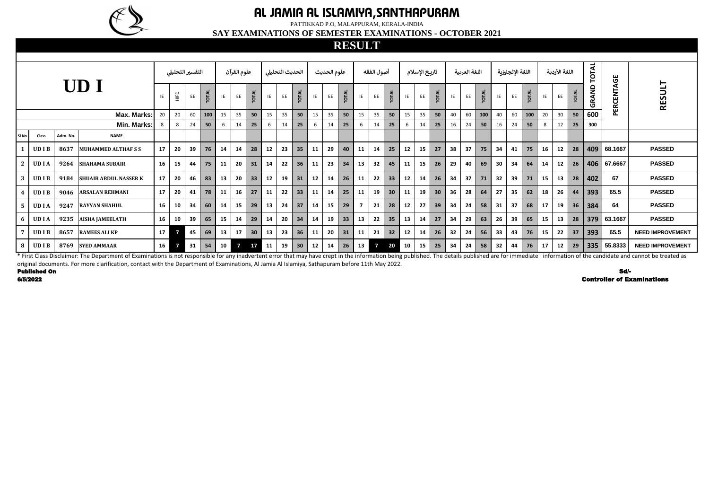\* First Class Disclaimer: The Department of Examinations is not responsible for any inadvertent error that may have crept in the information being published. The details published are for immediate information of the candi original documents. For more clarification, contact with the Department of Examinations, Al Jamia Al Islamiya, Sathapuram before 11th May 2022.

|       |              |          |                              |                 | التفسير التحليلى                 |    |              | علوم القرآن     |                |                 | الحديث التحليلى  |    |                 | علوم الحديث |    |              | أصول الفقه |                |                 | تاريخ الإسلام |    |       | اللغة العربية |    |              | اللغة الإنجليزية |    |       | اللغة الأردية |    | OTAL         | <b>შ</b> |          |                         |
|-------|--------------|----------|------------------------------|-----------------|----------------------------------|----|--------------|-----------------|----------------|-----------------|------------------|----|-----------------|-------------|----|--------------|------------|----------------|-----------------|---------------|----|-------|---------------|----|--------------|------------------|----|-------|---------------|----|--------------|----------|----------|-------------------------|
|       |              |          | UD I                         |                 | $\stackrel{\textstyle\Box}{=}\,$ | EE | <b>TOTAL</b> | IE              | EE             | <b>TOTAL</b>    | IE               | EE | TOTAL           | IE          | EE | <b>TOTAL</b> | IE         | EE             | <b>TOTAL</b>    | IE            | EE | TOTAL | IE            | EE | <b>TOTAL</b> | IE               | EE | TOTAL | IE            | EE | <b>TOTAL</b> | GRAND    | PERCENTA | <b>RESULT</b>           |
|       |              |          | Max. Marks:                  | 20              | 20                               | 60 | 100          | 15              | 35             | 50              | 15               | 35 | 50              | 15          | 35 | 50           | 15         | 35             | 50              | 15            | 35 | 50    | 40            | 60 | 100          | 40               | 60 | 100   | 20            | 30 | 50           | 600      |          |                         |
|       |              |          | Min. Marks:                  |                 | 8                                | 24 | 50           | -6              | 14             | 25              |                  | 14 | 25              | -6          | 14 | 25           |            | 14             | 25              |               | 14 | 25    | 16            | 24 | 50           | 16               | 24 | 50    | 8             | 12 | 25           | 300      |          |                         |
| SI No | <b>Class</b> | Adm. No. | <b>NAME</b>                  |                 |                                  |    |              |                 |                |                 |                  |    |                 |             |    |              |            |                |                 |               |    |       |               |    |              |                  |    |       |               |    |              |          |          |                         |
|       | <b>UDIB</b>  | 8637     | <b>MUHAMMED ALTHAFSS</b>     | 17              | 20                               | 39 | 76           | 14              | 14             | 28              | 12               | 23 | 35              | 11          | 29 | 40           | 11         | 14             | 25              | 12            | 15 | 27    | 38            | 37 | 75           | 34               | 41 | 75    | 16            | 12 | 28           | 409      | 68.1667  | <b>PASSED</b>           |
|       | <b>UDIA</b>  | 9264     | <b>SHAHAMA SUBAIR</b>        | 16              | 15                               | 44 | 75           | <b>11</b>       | 20             | 31              | 14               | 22 | 36              | 11          | 23 | 34           | 13         | 32             | 45              | 11            | 15 | 26    | 29            | 40 | 69           | 30               | 34 | 64    | 14            | 12 | 26           | 406      | 67.6667  | <b>PASSED</b>           |
|       | <b>UDIB</b>  | 9184     | <b>SHUAIB ABDUL NASSER K</b> | 17              | 20                               | 46 | 83           | 13              | 20             | 33              | 12 <sup>12</sup> | 19 | 31              | 12          | 14 | 26           | 11         | 22             | 33 <sup>°</sup> | 12            | 14 | 26    | 34            | 37 | 71           | 32               | 39 | 71    | 15            | 13 | 28           | 402      | 67       | <b>PASSED</b>           |
|       | <b>UDIB</b>  | 9046     | <b>ARSALAN REHMANI</b>       | 17              | 20                               | 41 | 78           | -11             | 16             | 27              | 11               | 22 | 33              | 11          | 14 | 25           | 11         | 19             | 30 <sup>°</sup> | 11            | 19 | 30    | 36            | 28 | 64           | 27               | 35 | 62    | 18            | 26 | $\vert$ 44   | 393      | 65.5     | <b>PASSED</b>           |
|       | <b>UDIA</b>  | 9247     | <b>RAYYAN SHAHUL</b>         | 16              | 10                               | 34 | 60           | 14              | 15             | 29              | 13               | 24 | 37              | 14          | 15 | 29           |            | 21             | 28              | 12            | 27 | 39    | 34            | 24 | 58           | 31               | 37 | 68    | 17            | 19 | 36           | 384      | 64       | <b>PASSED</b>           |
|       | <b>UDIA</b>  | 9235     | <b>AISHA JAMEELATH</b>       | 16              | 10                               | 39 | 65           | 15              | 14             | 29              | 14               | 20 | 34              | 14          | 19 | 33           | 13         | 22             | 35              | 13            | 14 | 27    | 34            | 29 | 63           | 26               | 39 | 65    | 15            | 13 | 28           | 379      | 63.1667  | <b>PASSED</b>           |
|       | <b>UDIB</b>  | 8657     | <b>RAMEES ALI KP</b>         | 17 <sup>2</sup> |                                  | 45 | 69           | 13 <sup>2</sup> | 17             | 30 <sup>°</sup> | 13               | 23 | 36              | 11          | 20 | 31           | 11         | 21             | 32              | 12            | 14 | 26    | 32            | 24 | 56           | 33               | 43 | 76    | 15            | 22 | 37           | 393      | 65.5     | <b>NEED IMPROVEMENT</b> |
|       | <b>UDIB</b>  | 8769     | <b>SYED AMMAAR</b>           | 16              |                                  | 31 | 54           | 10 <sup>1</sup> | $\overline{7}$ | 17              | 11               | 19 | 30 <sup>°</sup> | 12          | 14 | 26           | 13         | $\overline{7}$ | 20              | 10            | 15 | 25    | 34            | 24 | 58           | 32               | 44 | 76    | 17            | 12 | 29           | 335      | 55.8333  | <b>NEED IMPROVEMENT</b> |

Published On

6/5/2022 Controller of Examinations Sd/-



## **AL JAMIA AL ISLAMIYA,SANTHAPURAM**

PATTIKKAD P.O, MALAPPURAM, KERALA-INDIA

**SAY EXAMINATIONS OF SEMESTER EXAMINATIONS - OCTOBER 2021**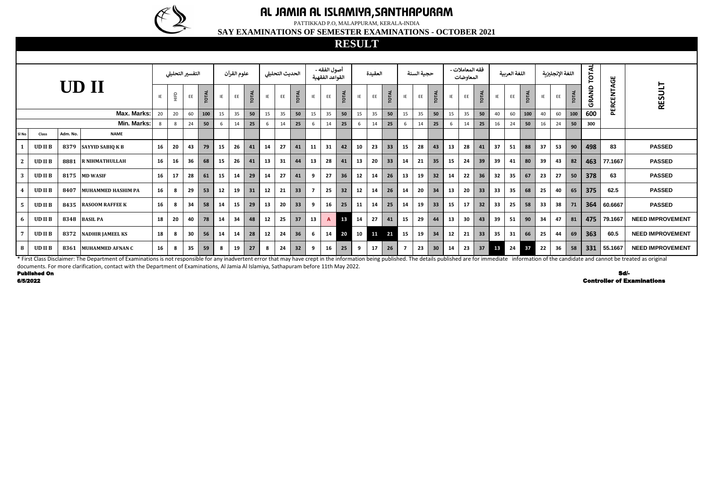| <b>UD</b> II |              |          |                           |    |     | التفسير التحليلى |              |    | علوم القرآن |              |     | الحديث التحليلى |              |    | أصول الفقه -<br>القواعد الفقهية |              |    | العقيدة |                 |     | حجية السنة |                 |    | فقه المعاملات -<br>المعاوضات |                 |    | اللغة العربية |              |          | اللغة الإنجليزية |       | <b>TOTAL</b> |            |                         |
|--------------|--------------|----------|---------------------------|----|-----|------------------|--------------|----|-------------|--------------|-----|-----------------|--------------|----|---------------------------------|--------------|----|---------|-----------------|-----|------------|-----------------|----|------------------------------|-----------------|----|---------------|--------------|----------|------------------|-------|--------------|------------|-------------------------|
|              |              |          |                           | IE | HID | EE               | <b>TOTAL</b> | IE | EE          | <b>TOTAL</b> | IE  | EE              | <b>TOTAL</b> | IE | EE                              | <b>TOTAL</b> | IE | EE      | <b>TOTAL</b>    | IE  | EE         | <b>TOTAL</b>    | IE | EE                           | <b>TOTAL</b>    | IE | EE            | <b>TOTAL</b> | $\sf IE$ | EE               | TOTAL | GRAND        | PERCENTAGE | <b>RESULT</b>           |
|              |              |          | <b>Max. Marks:</b>        | 20 | 20  | 60               | 100          | 15 | 35          | 50           | 15  | 35              | 50           | 15 | 35                              | 50           | 15 | 35      | 50              | 15  | 35         | 50              | 15 | 35                           | 50              | 40 | 60            | 100          | 40       | 60               | 100   | 600          |            |                         |
|              |              |          | Min. Marks:               | 8  | - 8 | 24               | 50           | -6 | 14          | 25           |     | 14              | 25           | -6 | 14                              | 25           | -6 | 14      | 25              | - 6 | 14         | 25              | -6 | 14                           | 25              | 16 | 24            | 50           | 16       | 24               | 50    | 300          |            |                         |
| SI No        | Class        | Adm. No. | <b>NAME</b>               |    |     |                  |              |    |             |              |     |                 |              |    |                                 |              |    |         |                 |     |            |                 |    |                              |                 |    |               |              |          |                  |       |              |            |                         |
|              | <b>UDIIB</b> |          | 8379 SAYYID SABIQ K B     | 16 | 20  | 43               | 79           | 15 | 26          | 41           | -14 | 27              | 41           | 11 | 31                              | 42           | 10 | 23      | 33 <sup>2</sup> | 15  | 28         | 43              | 13 | 28                           | 41              | 37 | 51            | 88           | 37       | 53               | 90    | 498          | 83         | <b>PASSED</b>           |
|              | <b>UDIIB</b> | 8881     | <b>R NIHMATHULLAH</b>     | 16 | 16  | 36               | 68           | 15 | 26          | 41           | 13  | 31              | 44           | 13 | 28                              | 41           | 13 | 20      | 33              | 14  | 21         | 35              | 15 | 24                           | 39              | 39 | 41            | 80           | 39       | 43               | 82    | 463          | 77.1667    | <b>PASSED</b>           |
|              | <b>UDIIB</b> |          | 8175 MD WASIF             | 16 | 17  | 28               | 61           | 15 | 14          | 29           | -14 | 27              | 41           | 9  | 27                              | 36           | 12 | 14      | 26              | 13  | 19         | 32 <sub>2</sub> | 14 | 22                           | 36              | 32 | 35            | 67           | 23       | 27               | 50    | 378          | 63         | <b>PASSED</b>           |
|              | <b>UDIIB</b> | 8407     | <b>MUHAMMED HASHIM PA</b> | 16 | 8   | 29               | 53           | 12 | 19          | 31           | 12  | 21              | 33           |    | 25                              | 32           | 12 | 14      | 26              | 14  | 20         | 34              | 13 | 20                           | 33 <sup>2</sup> | 33 | 35            | 68           | 25       | 40               | 65    | 375          | 62.5       | <b>PASSED</b>           |
|              | <b>UDIIB</b> | 8435     | <b>RASOOM RAFFEE K</b>    | 16 | -8  | 34               | 58           | 14 | 15          | 29           | 13  | 20              | 33           | -9 | 16                              | 25           | 11 | 14      | 25              | 14  | 19         | 33              | 15 | 17                           | 32 <sup>2</sup> | 33 | 25            | 58           | 33       | 38               | 71    | 364          | 60.6667    | <b>PASSED</b>           |
|              | <b>UDIIB</b> | 8348     | <b>BASIL PA</b>           | 18 | 20  | 40               | 78           | 14 | 34          | 48           | 12  | 25              | 37           | 13 | A                               | 13           | 14 | 27      | 41              | 15  | 29         | 44              | 13 | 30                           | 43              | 39 | 51            | 90           | 34       | 47               | 81    | 475          | 79.1667    | <b>NEED IMPROVEMENT</b> |
|              | <b>UDIIB</b> |          | 8372 NADHIR JAMEEL KS     | 18 | -8  | 30 <sub>2</sub>  | 56           | 14 | 14          | 28           | 12  | 24              | 36           | 6  | 14                              | 20           |    | 10 11   | 21              | 15  | 19         | 34              | 12 | 21                           | 33              | 35 | 31            | 66           | 25       | 44               | 69    | 363          | 60.5       | <b>NEED IMPROVEMENT</b> |
| -8           | <b>UDIIB</b> |          | 8361 MUHAMMED AFNAN C     | 16 | 8   | 35               | 59           | 8  | 19          | 27           | 8   | 24              | 32           | 9  | 16                              | 25           | 9  | 17      | 26              |     | 23         | 30              | 14 | 23                           | 37              | 13 | 24            | 37           | 22       | 36               | 58    | 331          | 155.1667   | <b>NEED IMPROVEMENT</b> |

6/5/2022

Published On First Class Disclaimer: The Department of Examinations is not responsible for any inadvertent error that may have crept in the information being published. The details published are for immediate information of the candida documents. For more clarification, contact with the Department of Examinations, Al Jamia Al Islamiya, Sathapuram before 11th May 2022.

Sd/- Controller of Examinations



### **AL JAMIA AL ISLAMIYA,SANTHAPURAM**

PATTIKKAD P.O, MALAPPURAM, KERALA-INDIA

**SAY EXAMINATIONS OF SEMESTER EXAMINATIONS - OCTOBER 2021**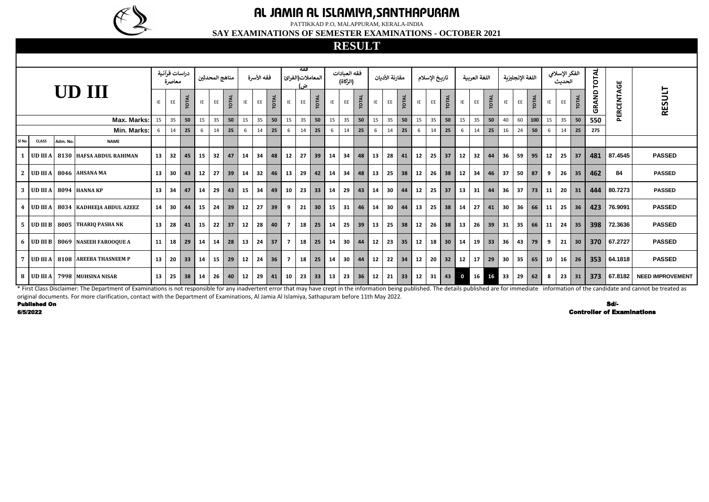|                  |                     |          |                                                                                                                                                                                                                                |    | دراسات قرآنية<br>معاصرة |                 |    | مناهج المحدثين |              |    | فقه الأسرة |       |                | فقه<br>المعاملات(الفرائ<br>ٺ . |                 |    | فقه العبادات<br>(الزكاة) |                   |    | مقارنة الأدبان |                                         |    | تاريخ الإسلام   |                   |              | اللغة العربية |              |                 | اللغة الإنجليزية |              |            | الفكر الإسلامي<br>الحديث |              | TOTAL | LШ.                               |                         |
|------------------|---------------------|----------|--------------------------------------------------------------------------------------------------------------------------------------------------------------------------------------------------------------------------------|----|-------------------------|-----------------|----|----------------|--------------|----|------------|-------|----------------|--------------------------------|-----------------|----|--------------------------|-------------------|----|----------------|-----------------------------------------|----|-----------------|-------------------|--------------|---------------|--------------|-----------------|------------------|--------------|------------|--------------------------|--------------|-------|-----------------------------------|-------------------------|
|                  |                     |          | UD III                                                                                                                                                                                                                         | IE | EE                      | <b>TOTAL</b>    | IE | EE             | <b>TOTAL</b> | IE | EE         | TOTAL | IE             | EE                             | <b>TOTAL</b>    | IE | EE                       | <b>TOTAL</b>      | IE | EE             | <b>TOTAL</b>                            | IE | EE              | TOTAL             | IE           | EE            | <b>TOTAL</b> | IE              | EE               | <b>TOTAL</b> | IE         | EE                       | <b>TOTAL</b> | GRAND | ERCENTAG                          | <b>RESULT</b>           |
|                  |                     |          | Max. Marks:                                                                                                                                                                                                                    | 15 | 35                      | 50              | 15 | 35             | 50           | 15 | 35         | 50    | 15             | 35                             | 50              | 15 | 35                       | 50                | 15 | 35             | 50                                      | 15 | 35              | 50                | 15           | 35            | 50           | 40              | 60               | 100          | $\vert$ 15 | 35                       | 50           | 550   | $\overline{\mathbf{a}}$           |                         |
|                  |                     |          | Min. Marks:                                                                                                                                                                                                                    | 6  | 14                      | 25              | 6  | 14             | 25           | 6  | 14         | 25    | 6              | 14                             | 25              | 6  | 14                       | 25                | 6  | 14             | 25                                      | 6  | 14              | 25                | -6           | 14            | 25           | 16              | 24               | 50           | 6          | 14                       | 25           | 275   |                                   |                         |
| Sl No            | <b>CLASS</b>        | Adm. No. | <b>NAME</b>                                                                                                                                                                                                                    |    |                         |                 |    |                |              |    |            |       |                |                                |                 |    |                          |                   |    |                |                                         |    |                 |                   |              |               |              |                 |                  |              |            |                          |              |       |                                   |                         |
|                  |                     |          | UD III A   8130 HAFSA ABDUL RAHIMAN                                                                                                                                                                                            | 13 | 32                      | 45              | 15 | 32             | 47           | 14 | 34         | 48    | 12             | 27                             | 39              | 14 | 34                       | 48                | 13 | 28             | 41                                      | 12 | 25              | 37                | 12           | 32            | 44           | 36              | 59               | 95           | 12         | 25                       | - 37         | 481   | 87.4545                           | <b>PASSED</b>           |
| <sup>2</sup>     |                     |          | UD III A 8046 AHSANA MA                                                                                                                                                                                                        | 13 | 30 <sub>o</sub>         | 43              | 12 | 27             | 39           | 14 | 32         | 46    | 13             | 29                             | 42              | 14 | 34                       | 48                | 13 | 25             | 38                                      | 12 |                 | $26 \mid 38$      | 12           | 34            | 46           | 37              | 50 l             | 87           | 9          |                          | $26$ 35      | 462   | 84                                | <b>PASSED</b>           |
| 3                |                     |          | UD III A 8094 HANNA KP                                                                                                                                                                                                         | 13 | 34                      | 47              | 14 | 29             | 43           | 15 | 34         | 49    | 10             | 23                             | 33              | 14 | 29                       | 43                | 14 | 30             | 44                                      | 12 | 25              | 37                | 13           | 31            | 44           | 36 <sup>1</sup> | 37               | 73           | 11         | $20 \mid 31$             |              | 444   | 80.7273                           | <b>PASSED</b>           |
| $\boldsymbol{4}$ |                     |          | UD III A   8034   KADHEEJA ABDUL AZEEZ                                                                                                                                                                                         | 14 | 30                      | 44              | 15 | 24             | 39           | 12 | 27         | 39    | 9              | 21                             | 30 <sup>1</sup> | 15 | 31                       | 46                | 14 | 30             | 44                                      | 13 | 25 <sub>1</sub> | 38                | 14           | 27            | 41           | 30 <sup>1</sup> | 36               | 66           | $\vert$ 11 | 25                       | 36           | 423   | 76.9091                           | <b>PASSED</b>           |
| 5                |                     |          | UD III B 8005 THARIQ PASHA NK                                                                                                                                                                                                  | 13 | 28                      | 41              | 15 | 22             | 37           | 12 | 28         | 40    | $\overline{7}$ | 18                             | 25 <sub>1</sub> | 14 |                          | $25 \mid 39 \mid$ | 13 | 25             | $\begin{array}{c} \n 38 \n \end{array}$ | 12 |                 | $26 \mid 38$      | 13           | 26            | 39           | 31              | -35 I            | 66           | $\vert$ 11 | 24 35                    |              | 398   | 72.3636                           | <b>PASSED</b>           |
| 6                |                     |          | UD III B 8069 NASEEH FAROOQUE A                                                                                                                                                                                                | 11 | 18                      | 29              | 14 | 14             | 28           | 13 | 24         | 37    | $\overline{7}$ | 18                             | 25              | 14 |                          | $30 \mid 44$      | 12 | $23 \mid 35$   |                                         | 12 |                 | $18$ 30           | 14           | 19            | 33           | 36              | 43               | 79           | - 9        |                          | $21 \mid 30$ | 370   | 67.2727                           | <b>PASSED</b>           |
|                  |                     |          | UD III A   8108 AREEBA THASNEEM P                                                                                                                                                                                              | 13 | 20                      | 33 <sup>2</sup> | 14 |                | $15 \mid 29$ | 12 | 24         | 36    | $\overline{7}$ | 18                             | 25              | 14 |                          | $30 \mid 44 \mid$ | 12 | $22 \mid 34$   |                                         | 12 |                 | $20 \mid 32$      | 12           | 17            | 29           | 30 l            |                  | $35 \mid 65$ | $\vert$ 10 |                          | $16 \mid 26$ | 353   | 64.1818                           | <b>PASSED</b>           |
|                  | $8$   UD III A      |          | 7998 MUHSINA NISAR                                                                                                                                                                                                             | 13 | 25                      | 38              | 14 | 26             | 40           | 12 | 29         | 41    | 10             | 23                             | 33              | 13 |                          | $23 \mid 36 \mid$ | 12 | 21             | $ 33\rangle$                            | 12 |                 | $31 \mid 43 \mid$ | $\mathbf{0}$ | 16            | 16           | 33              | 29               | 62           | 8          |                          | $23 \mid 31$ | 373   | 67.8182                           | <b>NEED IMPROVEMENT</b> |
|                  |                     |          | * First Class Disclaimer: The Department of Examinations is not responsible for any inadvertent error that may have crept in the information being published. The details published are for immediate information of the candi |    |                         |                 |    |                |              |    |            |       |                |                                |                 |    |                          |                   |    |                |                                         |    |                 |                   |              |               |              |                 |                  |              |            |                          |              |       |                                   |                         |
|                  | <b>Published On</b> |          | original documents. For more clarification, contact with the Department of Examinations, Al Jamia Al Islamiya, Sathapuram before 11th May 2022.                                                                                |    |                         |                 |    |                |              |    |            |       |                |                                |                 |    |                          |                   |    |                |                                         |    |                 |                   |              |               |              |                 |                  |              |            |                          |              |       | Sd/-                              |                         |
|                  | 6/5/2022            |          |                                                                                                                                                                                                                                |    |                         |                 |    |                |              |    |            |       |                |                                |                 |    |                          |                   |    |                |                                         |    |                 |                   |              |               |              |                 |                  |              |            |                          |              |       | <b>Controller of Examinations</b> |                         |



# **AL JAMIA AL ISLAMIYA,SANTHAPURAM**

PATTIKKAD P.O, MALAPPURAM, KERALA-INDIA

**SAY EXAMINATIONS OF SEMESTER EXAMINATIONS - OCTOBER 2021**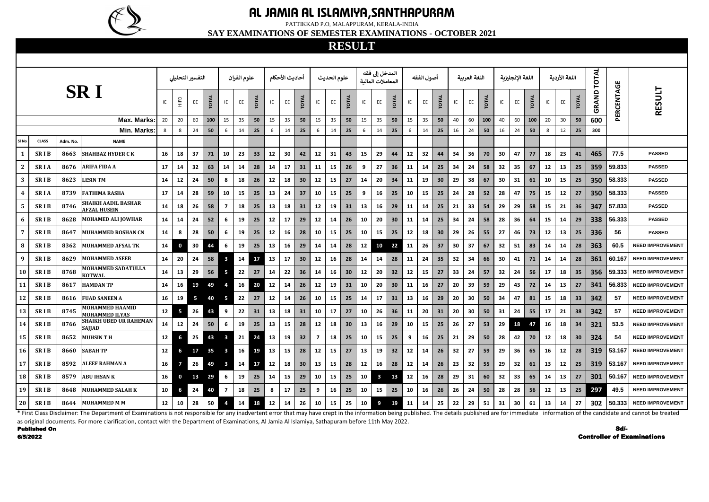|                |                     |          |                                                                                                                                                                                                                                |                 | التفسير التحليلي     |                 |                 |                         | علوم القرآن |              |       | أحاديث الأحكام |                 |                | علوم الحديث |                 |     | المدخل إلى فقه<br>المعاملات المالىة |                 |           | أصول الفقه |                 |    | اللغة العربية |              |    | اللغة الإنجليزبة |              |    | اللغة الأردية   |              | <b>TOTAL</b> |            |                                   |
|----------------|---------------------|----------|--------------------------------------------------------------------------------------------------------------------------------------------------------------------------------------------------------------------------------|-----------------|----------------------|-----------------|-----------------|-------------------------|-------------|--------------|-------|----------------|-----------------|----------------|-------------|-----------------|-----|-------------------------------------|-----------------|-----------|------------|-----------------|----|---------------|--------------|----|------------------|--------------|----|-----------------|--------------|--------------|------------|-----------------------------------|
|                |                     |          | <b>SRI</b>                                                                                                                                                                                                                     | IE              | $\frac{\Omega}{\Xi}$ | EE              | <b>TOTAL</b>    | IE                      | EE          | <b>TOTAL</b> | IE    | EE             | <b>TOTAL</b>    | IE             | EE.         | <b>TOTAL</b>    | IE  | EE                                  | <b>TOTAL</b>    | IE        | EE         | <b>OTAL</b>     | IE | EE            | <b>TOTAL</b> | IE | EE               | <b>TOTAL</b> | IE | EE              | <b>TOTAL</b> | GRAND        | PERCENTAGE | <b>RESULT</b>                     |
|                |                     |          | <b>Max. Marks:</b>                                                                                                                                                                                                             | 20              | 20                   | 60              | 100             | 15                      | 35          | 50           | 15    | 35             | 50              | 15             | 35          | 50              | 15  | 35                                  | 50              | 15        | 35         | 50              | 40 | 60            | 100          | 40 | 60               | 100          | 20 | 30              | 50           | 600          |            |                                   |
|                |                     |          | Min. Marks:                                                                                                                                                                                                                    | 8               | 8                    | 24              | 50              | -6                      | 14          | 25           | 6     | 14             | 25              | 6              | 14          | 25              | -6  | 14                                  | 25              | 6         | 14         | 25              | 16 | 24            | 50           | 16 | 24               | 50           | -8 | 12              | 25           | 300          |            |                                   |
| SI No          | <b>CLASS</b>        | Adm. No. | <b>NAME</b>                                                                                                                                                                                                                    |                 |                      |                 |                 |                         |             |              |       |                |                 |                |             |                 |     |                                     |                 |           |            |                 |    |               |              |    |                  |              |    |                 |              |              |            |                                   |
|                | <b>SRIB</b>         | 8663     | <b>SHAHBAZ HYDER CK</b>                                                                                                                                                                                                        | 16              | 18                   | 37              | 71              | 10                      | 23          | 33           | 12    | 30             | 42              | 12             | 31          | 43              | 15  | 29                                  | 44              | 12        | 32         | 44              | 34 | 36            | 70           | 30 | 47               | 77           | 18 | 23              | 41           | 465          | 77.5       | <b>PASSED</b>                     |
| $\mathbf{2}$   | <b>SRIA</b>         | 8676     | <b>ARIFA FIDA A</b>                                                                                                                                                                                                            | 17              | 14                   | 32              | 63              | 14                      | 14          | 28           | 14    | 17             | 31              | 11             | 15          | 26              | - 9 | 27                                  | 36 <sup>°</sup> | 11        | -14        | 25              | 34 | 24            | 58           | 32 | 35               | 67           | 12 | 13              | 25           | 359          | 59.833     | <b>PASSED</b>                     |
| 3              | <b>SRIB</b>         | 8623     | <b>LESIN TM</b>                                                                                                                                                                                                                | 14              | 12                   | 24              | 50              | 8                       | 18          | 26           | 12    | 18             | 30 <sup>°</sup> | 12             | 15          | 27              | 14  | 20                                  | 34              | <b>11</b> | 19         | 30 <sup>°</sup> | 29 | 38            | 67           | 30 | 31               | 61           | 10 | 15              | 25           | 350          | 58.333     | <b>PASSED</b>                     |
|                | <b>SRIA</b>         | 8739     | <b>FATHIMA RASHA</b>                                                                                                                                                                                                           | 17              | 14                   | 28              | 59              | 10                      | 15          | 25           | 13    | 24             | 37              | 10             | 15          | 25              | -9  | 16                                  | 25              | 10        | 15         | 25              | 24 | 28            | 52           | 28 | 47               | 75           | 15 | 12              | 27           | 350          | 58.333     | <b>PASSED</b>                     |
| 5              | <b>SRIB</b>         | 8746     | <b>SHAIKH AADIL BASHAR</b><br><b>AFZAL HUSEIN</b>                                                                                                                                                                              | 14              | 18                   | 26              | 58              | 7                       | 18          | 25           | 13    | 18             | 31              | 12             | 19          | 31              | 13  | 16                                  | 29              | <b>11</b> | -14        | 25              | 21 | 33            | 54           | 29 | 29               | 58           | 15 | 21              | 36           | 347          | 57.833     | <b>PASSED</b>                     |
| 6              | <b>SRIB</b>         | 8628     | <b>MOHAMED ALI JOWHAR</b>                                                                                                                                                                                                      | 14              | 14                   | 24              | 52 <sub>2</sub> | -6                      | 19          | 25           | 12    | 17             | 29              | 12             | 14          | 26              | 10  | 20                                  | 30 <sub>2</sub> | 11        | 14         | 25              | 34 | 24            | 58           | 28 | 36               | 64           | 15 | 14              | 29           | 338          | 56.333     | <b>PASSED</b>                     |
| $\overline{7}$ | <b>SRIB</b>         | 8647     | <b>MUHAMMED ROSHAN CN</b>                                                                                                                                                                                                      | 14              | 8                    | 28              | 50              | -6                      | 19          | 25           | 12    | 16             | 28              | 10             | 15          | 25              | 10  | 15                                  | 25              | 12        | 18         | 30 <sup>°</sup> | 29 | 26            | 55           | 27 | 46               | 73           | 12 | 13              | 25           | 336          | 56         | <b>PASSED</b>                     |
| 8              | <b>SRIB</b>         | 8362     | <b>MUHAMMED AFSAL TK</b>                                                                                                                                                                                                       | 14              | 0                    | 30              | 44              | -6                      | 19          | 25           | 13    | 16             | 29              | 14             | 14          | 28              | 12  | 10                                  | 22              | 11        | 26         | 37              | 30 | 37            | 67           | 32 | 51               | 83           | 14 | 14              | 28           | 363          | 60.5       | <b>NEED IMPROVEMENT</b>           |
| 9              | <b>SRIB</b>         | 8629     | <b>MOHAMMED ASEEB</b>                                                                                                                                                                                                          | 14              | 20                   | 24              | 58              | $\mathbf{3}$            | 14          | 17           | 13    | 17             | 30 <sup>°</sup> | 12             | 16          | 28              | 14  | 14                                  | 28              | <b>11</b> | 24         | 35              | 32 | 34            | 66           | 30 | 41               | 71           | 14 | 14              | 28           | 361          | 60.167     | <b>NEED IMPROVEMENT</b>           |
| <b>10</b>      | <b>SRIB</b>         | 8768     | <b>MOHAMMED SADATULLA</b><br><b>KOTWAL</b>                                                                                                                                                                                     | 14              | 13                   | 29              | 56              |                         | 22          | 27           | 14    | 22             | 36              | 14             | 16          | 30 <sub>o</sub> | 12  | 20                                  | 32 <sub>2</sub> | 12        | 15         | 27              | 33 | 24            | 57           | 32 | 24               | 56           | 17 | 18              | 35           | 356          | 59.333     | <b>NEED IMPROVEMENT</b>           |
| <b>11</b>      | <b>SRIB</b>         | 8617     | <b>HAMDAN TP</b>                                                                                                                                                                                                               | 14              | 16                   | 19              | 49              |                         | 16          | 20           | 12    | 14             | 26              | 12             | 19          | 31              | 10  | 20                                  | 30 <sup>°</sup> | 11        | 16         | 27              | 20 | 39            | 59           | 29 | 43               | 72           | 14 | 13              | 27           | 341          | 56.833     | <b>NEED IMPROVEMENT</b>           |
| 12             | <b>SRIB</b>         | 8616     | <b>FUAD SANEEN A</b>                                                                                                                                                                                                           | 16              | 19                   | $5\overline{)}$ | 40              | -5                      | 22          | 27           | 12    | 14             | 26              | 10             | 15          | 25              | 14  | 17                                  | 31              | 13        | 16         | 29              | 20 | 30            | 50           | 34 | 47               | 81           | 15 | 18              | 33           | 342          | 57         | <b>NEED IMPROVEMENT</b>           |
| 13             | <b>SRIB</b>         | 8745     | <b>MOHAMMED HAAMID</b><br><b>MOHAMMED ILYAS</b>                                                                                                                                                                                | 12              | 5                    | 26              | 43              | 9                       | 22          | 31           | 13    | 18             | 31              | 10             | 17          | 27              | 10  | 26                                  | 36              | 11        | 20         | 31              | 20 | 30            | 50           | 31 | 24               | 55           | 17 | 21              | 38           | 342          | 57         | <b>NEED IMPROVEMENT</b>           |
| 14             | <b>SRIB</b>         | 8766     | <b>SHAIKH UBED UR RAHEMAN</b><br><b>SAJJAD</b>                                                                                                                                                                                 | 14              | 12                   | 24              | 50              | 6                       | 19          | 25           | 13    | 15             | 28              | 12             | 18          | 30 <sub>o</sub> | 13  | 16                                  | 29              | 10        | 15         | 25              | 26 | 27            | 53           | 29 | 18               | 47           | 16 | 18              | 34           | 321          | 53.5       | <b>NEED IMPROVEMENT</b>           |
| 15             | <b>SRIB</b>         | 8652     | <b>MUHSINTH</b>                                                                                                                                                                                                                | 12              |                      | 25              | 43              | $\overline{\mathbf{3}}$ | 21          | 24           | 13    | 19             | 32              | $\overline{ }$ | 18          | 25              | 10  | 15                                  | 25              | 9         | 16         | 25              | 21 | 29            | 50           | 28 | 42               | <b>70</b> l  | 12 | 18 <sup>1</sup> | 30           | 324          | 54         | <b>NEED IMPROVEMENT</b>           |
| 16             | <b>SRIB</b>         | 8660     | <b>SABAH TP</b>                                                                                                                                                                                                                | 12              | 6                    | 17              | 35              |                         | 16          | 19           | 13    | 15             | 28              | 12             | 15          | 27              | 13  | 19                                  | 32              | 12        | 14         | 26              | 32 | 27            | 59           | 29 | 36               | 65           | 16 | 12              | 28           |              | 319 53.167 | <b>NEED IMPROVEMENT</b>           |
| 17             | <b>SRIB</b>         | 8592     | <b>ALEEF RAHMAN A</b>                                                                                                                                                                                                          | 16              |                      | 26              | 49              | $\overline{\mathbf{3}}$ | 14          | 17           | 12    | 18             | 30 <sup>°</sup> | 13             | 15          | 28              | 12  | 16                                  | 28              | 12        | 14         | 26              | 23 | 32            | 55           | 29 | 32               | 61           | 13 | 12 <sup>1</sup> | 25           | 319          | 53.167     | <b>NEED IMPROVEMENT</b>           |
| 18             | <b>SRIB</b>         | 8579     | <b>ABU IHSAN K</b>                                                                                                                                                                                                             | 16              | $\mathbf 0$          | 13              | 29              | - 6                     | 19          | 25           | 14    | 15             | 29              | 10             | 15          | 25              | 10  | $\overline{\mathbf{3}}$             | 13              | 12        | 16         | 28              | 29 | 31            | 60           | 32 | 33               | 65           | 14 | $13 \parallel$  | 27           | 301          | 50.167     | <b>NEED IMPROVEMENT</b>           |
| 19             | <b>SRIB</b>         | 8648     | MUHAMMED SALAH K                                                                                                                                                                                                               | 10 <sup>1</sup> | 6                    | 24              | 40              |                         | 18          | 25           | -8    | 17             | 25              | 9              | 16          | 25              | 10  | 15 I                                | 25              | 10        | 16         | 26              | 26 | 24            | 50           | 28 | 28               | 56           | 12 | $13 \parallel$  | 25           | 297          | 49.5       | <b>NEED IMPROVEMENT</b>           |
| 20             | <b>SRIB</b>         |          | 8644 MUHAMMED M M                                                                                                                                                                                                              | 12              | 10                   | 28              | 50              |                         | 14          |              | 18 12 | 14             | - 26            | 10             | 15          | 25              | 10  | 9                                   | 19              | 11        | -14        | 25              | 22 | 29            | 51           | 31 | 30               | 61           | 13 | 14              | 27           | 302          | 50.333     | <b>NEED IMPROVEMENT</b>           |
|                |                     |          | * First Class Disclaimer: The Department of Examinations is not responsible for any inadvertent error that may have crept in the information being published. The details published are for immediate information of the candi |                 |                      |                 |                 |                         |             |              |       |                |                 |                |             |                 |     |                                     |                 |           |            |                 |    |               |              |    |                  |              |    |                 |              |              |            |                                   |
|                | <b>Published On</b> |          | as original documents. For more clarification, contact with the Department of Examinations, Al Jamia Al Islamiya, Sathapuram before 11th May 2022.                                                                             |                 |                      |                 |                 |                         |             |              |       |                |                 |                |             |                 |     |                                     |                 |           |            |                 |    |               |              |    |                  |              |    |                 |              |              | Sd/-       |                                   |
|                | 6/5/2022            |          |                                                                                                                                                                                                                                |                 |                      |                 |                 |                         |             |              |       |                |                 |                |             |                 |     |                                     |                 |           |            |                 |    |               |              |    |                  |              |    |                 |              |              |            | <b>Controller of Examinations</b> |

6/5/2022

Sd/-



# **AL JAMIA AL ISLAMIYA,SANTHAPURAM**

PATTIKKAD P.O, MALAPPURAM, KERALA-INDIA

**SAY EXAMINATIONS OF SEMESTER EXAMINATIONS - OCTOBER 2021**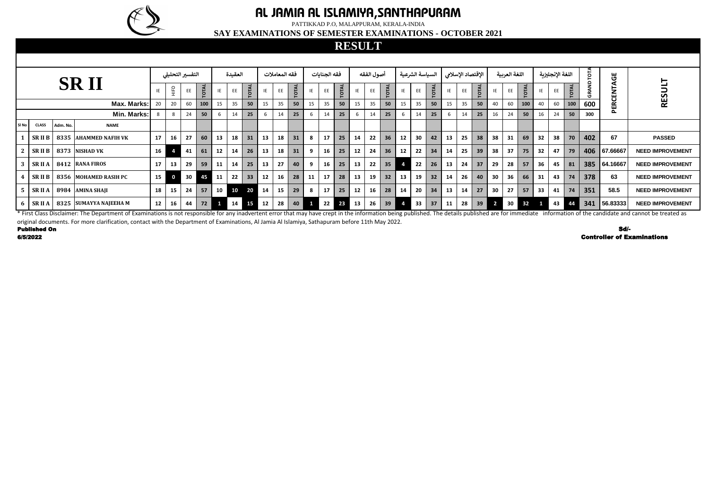|          |                     |          |                                                                                                                                                                                                                                |    |                                                       | التفسير التحليلى |              |      | العقيدة |             |    | فقه المعاملات   |             |    | فقه الجنايات |             |           | أصول الفقه |              |    | السياسة الشرعية |              |    |    | الإقتصاد الإسلامى |    | اللغة العربية   |             |    | اللغة الإنجليزية |              |     | უ<br>ს          |                                   |
|----------|---------------------|----------|--------------------------------------------------------------------------------------------------------------------------------------------------------------------------------------------------------------------------------|----|-------------------------------------------------------|------------------|--------------|------|---------|-------------|----|-----------------|-------------|----|--------------|-------------|-----------|------------|--------------|----|-----------------|--------------|----|----|-------------------|----|-----------------|-------------|----|------------------|--------------|-----|-----------------|-----------------------------------|
|          |                     |          | <b>SRII</b>                                                                                                                                                                                                                    |    | $\mathop{\underline{\mathsf{H}}}\limits_{\mathsf{H}}$ | EE               | <b>TOTAL</b> |      | EE      | <b>OTAL</b> |    | EE              | <b>OTAL</b> |    | EE           | <b>OTAL</b> | IE        | EE         | <b>TOTAL</b> |    | <b>EE</b>       | <b>TOTAL</b> |    | EE | <b>TOTAL</b>      |    | EE              | <b>TOTA</b> | IE | EE               | <b>TOTAL</b> |     | <b>ATA</b><br>ய | RESUL'                            |
|          |                     |          | Max. Marks:                                                                                                                                                                                                                    | 20 | 20                                                    | 60               | 100          | 15   | 35      | 50          | 15 | 35              | 50          | 15 | 35           | 50          | 15        | 35         | 50           | 15 | 35              | 50           | 15 | 35 | 50                | 40 | 60              | 100         | 40 | 60               | 100          | 600 | ш               |                                   |
|          |                     |          | Min. Marks:                                                                                                                                                                                                                    |    | 8                                                     | 24               | 50           | 6    | 14      | 25          |    | 14              | 25          |    | 14           | 25          | - 6       | 14         | 25           |    | 14              | 25           | 6  | 14 | 25                | 16 | 24              | 50          | 16 | 24               | 50           | 300 |                 |                                   |
| Sl No    | <b>CLASS</b>        | Adm. No. | <b>NAME</b>                                                                                                                                                                                                                    |    |                                                       |                  |              |      |         |             |    |                 |             |    |              |             |           |            |              |    |                 |              |    |    |                   |    |                 |             |    |                  |              |     |                 |                                   |
|          | <b>SRIIB</b>        |          | 8335 AHAMMED NAFIH VK                                                                                                                                                                                                          | 17 | 16                                                    | 27               | 60           | 13   | 18      | 31          | 13 | 18              | 31          | 8  | 17           | 25          | 14        | 22         | 36           | 12 | 30              | 42           | 13 | 25 | 38                | 38 | 31              | 69          | 32 | 38               | 70           | 402 | 67              | <b>PASSED</b>                     |
|          | SRII B              |          | 8373 NISHAD VK                                                                                                                                                                                                                 | 16 |                                                       | 41               | 61           | 12   | 14      | 26          | 13 | 18              | 31          |    | 16           | 25          | 12        | 24         | 36           | 12 | 22              | 34           | 14 | 25 | 39                | 38 | 37 <sup>1</sup> | 75          | 32 | 47               | 79           |     | 406 67.66667    | <b>NEED IMPROVEMENT</b>           |
|          |                     |          | $SRII A$   8412   RANA FIROS                                                                                                                                                                                                   | 17 | 13                                                    | 29               | 59           | 11   | 14      | 25          | 13 | 27              | 40          | -9 | 16           | 25          | 13        | 22         | 35           |    | 22              | 26           | 13 | 24 | 37                | 29 | 28              | 57          | 36 | 45               | 81           |     | 385 64.16667    | <b>NEED IMPROVEMENT</b>           |
|          | <b>SRIIB</b>        |          | 8356 MOHAMED RASIH PC                                                                                                                                                                                                          | 15 | $\mathbf 0$                                           | 30               | 45           | 11   | 22      | 33          | 12 | 16              | 28          | 11 | 17           | 28          | 13        | 19         | 32           | 13 | 19              | 32           | 14 | 26 | 40                | 30 | 36              | 66          | 31 | 43               | 74           | 378 | 63              | <b>NEED IMPROVEMENT</b>           |
|          | <b>SRIIA</b>        |          | 8984   AMINA SHAJI                                                                                                                                                                                                             | 18 | 15                                                    | 24               | 57           | 10 l | 10      | 20          | 14 | 15 <sub>1</sub> | 29          | 8  | 17           | 25          | 12        | 16         | 28           | 14 | 20              | 34           | 13 | 14 | 27                | 30 | 27 <sub>1</sub> | 57          | 33 | 41               | 74           | 351 | 58.5            | <b>NEED IMPROVEMENT</b>           |
|          | <b>SRIIA</b>        |          | 8325 SUMAYYA NAJEEHA M                                                                                                                                                                                                         | 12 | 16                                                    | 44               | 72           |      | 14      | 15          | 12 | 28              | 40          |    | 22           | 23          | <b>13</b> | 26         | 39           |    | 33              | 37           | 11 | 28 | 39                |    | 30 <sup>1</sup> | 32          |    | 43               | 44           | 341 | 56.83333        | <b>NEED IMPROVEMENT</b>           |
|          |                     |          | * First Class Disclaimer: The Department of Examinations is not responsible for any inadvertent error that may have crept in the information being published. The details published are for immediate information of the candi |    |                                                       |                  |              |      |         |             |    |                 |             |    |              |             |           |            |              |    |                 |              |    |    |                   |    |                 |             |    |                  |              |     |                 |                                   |
| 6/5/2022 | <b>Published On</b> |          | original documents. For more clarification, contact with the Department of Examinations, Al Jamia Al Islamiya, Sathapuram before 11th May 2022.                                                                                |    |                                                       |                  |              |      |         |             |    |                 |             |    |              |             |           |            |              |    |                 |              |    |    |                   |    |                 |             |    |                  |              |     | Sd/-            | <b>Controller of Examinations</b> |
|          |                     |          |                                                                                                                                                                                                                                |    |                                                       |                  |              |      |         |             |    |                 |             |    |              |             |           |            |              |    |                 |              |    |    |                   |    |                 |             |    |                  |              |     |                 |                                   |

6/5/2022



## **AL JAMIA AL ISLAMIYA,SANTHAPURAM**

PATTIKKAD P.O, MALAPPURAM, KERALA-INDIA

**SAY EXAMINATIONS OF SEMESTER EXAMINATIONS - OCTOBER 2021**